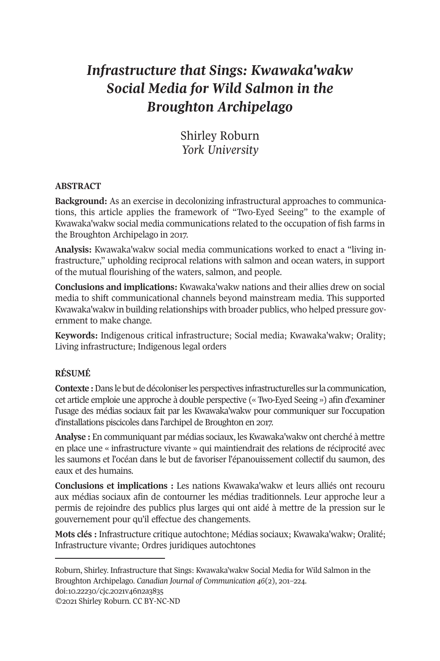# *Infrastructure that Sings: Kwawaka'wakw Social Media for Wild Salmon in the Broughton Archipelago*

Shirley Roburn *York University* 

# **ABSTRACT**

**Background:** As an exercise in decolonizing infrastructural approaches to communications, this article applies the framework of "Two-Eyed Seeing" to the example of Kwawaka'wakw social media communications related to the occupation of fish farms in the Broughton Archipelago in 2017.

**Analysis:** Kwawaka'wakw social media communications worked to enact a "living infrastructure," upholding reciprocal relations with salmon and ocean waters, in support of the mutual flourishing of the waters, salmon, and people.

**Conclusions and implications:** Kwawaka'wakw nations and their allies drew on social media to shift communicational channels beyond mainstream media. This supported Kwawaka'wakw in building relationships with broader publics, who helped pressure government to make change.

**Keywords:** Indigenous critical infrastructure; Social media; Kwawaka'wakw; Orality; Living infrastructure; Indigenous legal orders

# **RÉSUMÉ**

**Contexte :** Dans le but de décoloniser les perspectives infrastructurelles sur la communication, cet article emploie une approche à double perspective (« Two-Eyed Seeing ») afin d'examiner l'usage des médias sociaux fait par les Kwawaka'wakw pour communiquer sur l'occupation d'installations piscicoles dans l'archipel de Broughton en 2017.

**Analyse :** En communiquant par médias sociaux, les Kwawaka'wakw ont cherché à mettre en place une « [infrastructure v](https://doi.org/10.22230/cjc.2021v46n2a3835)ivante » qui maintiendrait des relations de réciprocité avec les saumons et l'océan dans le but de favoriser l'épanouissement collectif du saumon, des eaux et des humains.

**Conclusions et implications :** Les nations Kwawaka'wakw et leurs alliés ont recouru aux médias sociaux afin de contourner les médias traditionnels. Leur approche leur a permis de rejoindre des publics plus larges qui ont aidé à mettre de la pression sur le gouvernement pour qu'il effectue des changements.

**Mots clés :** Infrastructure critique autochtone; Médias sociaux; Kwawaka'wakw; Oralité; Infrastructure vivante; Ordres juridiques autochtones

©2021 Shirley Roburn. CC BY-NC-ND

Roburn, Shirley. Infrastructure that Sings: Kwawaka'wakw Social Media for Wild Salmon in the Broughton Archipelago. *Canadian Journal of Communication 46*(2), 201–224. doi:10.22230/cjc.2021v46n2a3835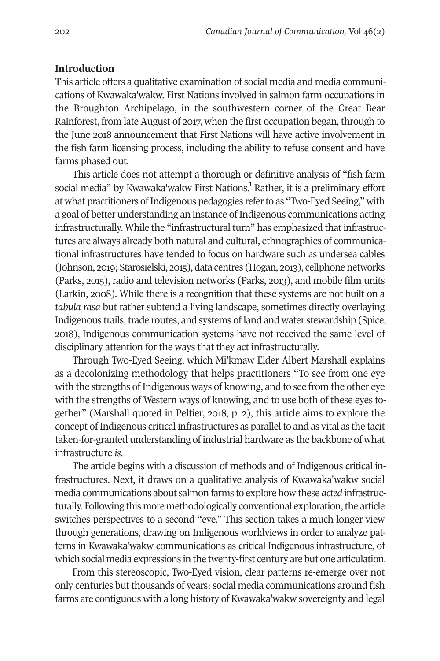# **Introduction**

This article offers a qualitative examination of social media and media communications of Kwawaka'wakw. First Nations involved in salmon farm occupations in the Broughton Archipelago, in the southwestern corner of the Great Bear Rainforest, from late August of 2017, when the first occupation began, through to the June 2018 announcement that First Nations will have active involvement in the fish farm licensing process, including the ability to refuse consent and have farms phased out.

This article does not attempt a thorough or definitive analysis of "fish farm social media" by Kwawaka'wakw First Nations.<sup>1</sup> Rather, it is a preliminary effort at what practitioners of Indigenous pedagogies refer to as "Two-Eyed Seeing," with a goal of better understanding an instance of Indigenous communications acting infrastructurally. While the "infrastructural turn" has emphasized that infrastructures are always already both natural and cultural, ethnographies of communicational infrastructures have tended to focus on hardware such as undersea cables (Johnson, 2019; Starosielski, 2015), data centres (Hogan, 2013), cellphone networks (Parks, 2015), radio and television networks (Parks, 2013), and mobile film units (Larkin, 2008). While there is a recognition that these systems are not built on a *tabula rasa* but rather subtend a living landscape, sometimes directly overlaying Indigenous trails, trade routes, and systems of land and water stewardship (Spice, 2018), Indigenous communication systems have not received the same level of disciplinary attention for the ways that they act infrastructurally.

Through Two-Eyed Seeing, which Mi'kmaw Elder Albert Marshall explains as a decolonizing methodology that helps practitioners "To see from one eye with the strengths of Indigenous ways of knowing, and to see from the other eye with the strengths of Western ways of knowing, and to use both of these eyes together" (Marshall quoted in Peltier, 2018, p. 2), this article aims to explore the concept of Indigenous critical infrastructures as parallel to and as vital as the tacit taken-for-granted understanding of industrial hardware as the backbone of what infrastructure *is*.

The article begins with a discussion of methods and of Indigenous critical infrastructures. Next, it draws on a qualitative analysis of Kwawaka'wakw social media communications about salmon farms to explore how these *acted* infrastructurally. Following this more methodologically conventional exploration, the article switches perspectives to a second "eye." This section takes a much longer view through generations, drawing on Indigenous worldviews in order to analyze patterns in Kwawaka'wakw communications as critical Indigenous infrastructure, of which social media expressions in the twenty-first century are but one articulation.

From this stereoscopic, Two-Eyed vision, clear patterns re-emerge over not only centuries but thousands of years: social media communications around fish farms are contiguous with a long history of Kwawaka'wakw sovereignty and legal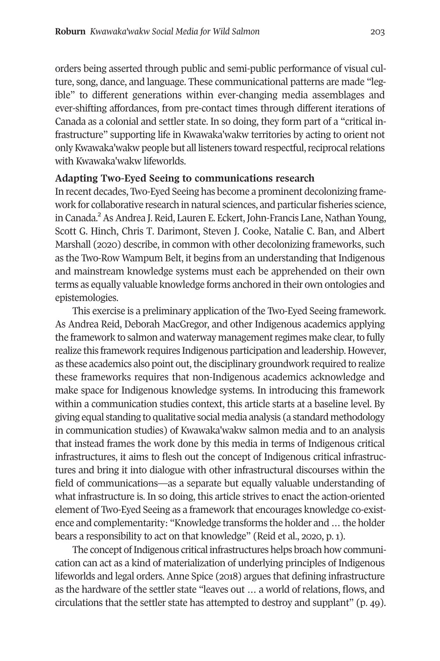orders bei[ng](#page-20-1) asserted through public and semi-public performance of visual culture, song, dance, and language. These communicational patterns are made "legible" to different generations within ever-changing media assemblages and ever-shifting affordances, from pre-contact times through different iterations of Canada as a colonial and settler state. In so doing, they form part of a "critical infrastructure" supporting life in Kwawaka'wakw territories by acting to orient not only Kwawaka'wakw people but all listeners toward respectful, reciprocal relations with Kwawaka'wakw lifeworlds.

# **Adapting Two-Eyed Seeing to communications research**

In recent decades, Two-Eyed Seeing has become a prominent decolonizing framework for collaborative research in natural sciences, and particular fisheries science, in Canada.<sup>2</sup> As Andrea J. Reid, Lauren E. Eckert, John-Francis Lane, Nathan Young, Scott G. Hinch, Chris T. Darimont, Steven J. Cooke, Natalie C. Ban, and Albert Marshall (2020) describe, in common with other decolonizing frameworks, such as the Two-Row Wampum Belt, it begins from an understanding that Indigenous and mainstream knowledge systems must each be apprehended on their own terms as equally valuable knowledge forms anchored in their own ontologies and epistemologies.

This exercise is a preliminary application of the Two-Eyed Seeing framework. As Andrea Reid, Deborah MacGregor, and other Indigenous academics applying the framework to salmon and waterway management regimes make clear, to fully realize this framework requires Indigenous participation and leadership. However, as these academics also point out, the disciplinary groundwork required to realize these frameworks requires that non-Indigenous academics acknowledge and make space for Indigenous knowledge systems. In introducing this framework within a communication studies context, this article starts at a baseline level. By giving equal standing to qualitative social media analysis (a standard methodology in communication studies) of Kwawaka'wakw salmon media and to an analysis that instead frames the work done by this media in terms of Indigenous critical infrastructures, it aims to flesh out the concept of Indigenous critical infrastructures and bring it into dialogue with other infrastructural discourses within the field of communications—as a separate but equally valuable understanding of what infrastructure is. In so doing, this article strives to enact the action-oriented element of Two-Eyed Seeing as a framework that encourages knowledge co-existence and complementarity: "Knowledge transforms the holder and … the holder bears a responsibility to act on that knowledge" (Reid et al., 2020, p. 1).

The concept of Indigenous critical infrastructures helps broach how communication can act as a kind of materialization of underlying principles of Indigenous lifeworlds and legal orders. Anne Spice (2018) argues that defining infrastructure as the hardware of the settler state "leaves out … a world of relations, flows, and circulations that the settler state has attempted to destroy and supplant" (p. 49).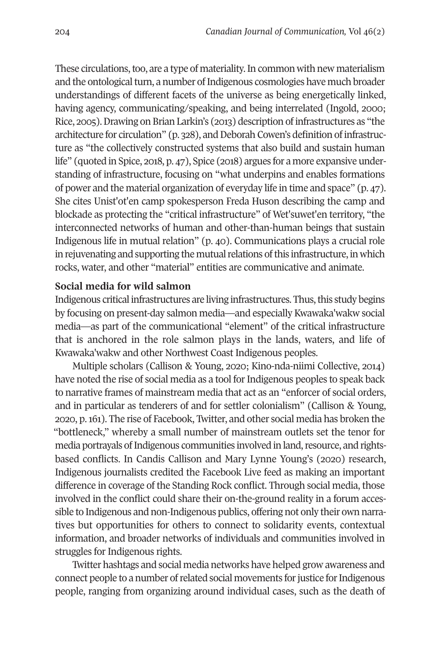These circulations, too, are a type of materiality. In common with new materialism and the ontological turn, a number of Indigenous cosmologies have much broader understandings of different facets of the universe as being energetically linked, having agency, communicating/speaking, and being interrelated (Ingold, 2000; Rice, 2005). Drawing on Brian Larkin's (2013) description of infrastructures as "the architecture for circulation" (p. 328), and Deborah Cowen's definition of infrastructure as "the collectively constructed systems that also build and sustain human life" (quoted in Spice, 2018, p. 47), Spice (2018) argues for a more expansive understanding of infrastructure, focusing on "what underpins and enables formations of power and the material organization of everyday life in time and space" (p. 47). She cites Unist'ot'en camp spokesperson Freda Huson describing the camp and blockade as protecting the "critical infrastructure" of Wet'suwet'en territory, "the interconnected networks of human and other-than-human beings that sustain Indigenous life in mutual relation" (p. 40). Communications plays a crucial role in rejuvenating and supporting the mutual relations of this infrastructure, in which rocks, water, and other "material" entities are communicative and animate.

# **Social media for wild salmon**

Indigenous critical infrastructures are living infrastructures. Thus, this study begins by focusing on present-day salmon media—and especially Kwawaka'wakw social media—as part of the communicational "element" of the critical infrastructure that is anchored in the role salmon plays in the lands, waters, and life of Kwawaka'wakw and other Northwest Coast Indigenous peoples.

Multiple scholars (Callison & Young, 2020; Kino-nda-niimi Collective, 2014) have noted the rise of social media as a tool for Indigenous peoples to speak back to narrative frames of mainstream media that act as an "enforcer of social orders, and in particular as tenderers of and for settler colonialism" (Callison & Young, 2020, p. 161). The rise of Facebook, Twitter, and other social media has broken the "bottleneck," whereby a small number of mainstream outlets set the tenor for media portrayals of Indigenous communities involved in land, resource, and rightsbased conflicts. In Candis Callison and Mary Lynne Young's (2020) research, Indigenous journalists credited the Facebook Live feed as making an important difference in coverage of the Standing Rock conflict. Through social media, those involved in the conflict could share their on-the-ground reality in a forum accessible to Indigenous and non-Indigenous publics, offering not only their own narratives but opportunities for others to connect to solidarity events, contextual information, and broader networks of individuals and communities involved in struggles for Indigenous rights.

Twitter hashtags and social media networks have helped grow awareness and connect people to a number of related social movements for justice for Indigenous people, ranging from organizing around individual cases, such as the death of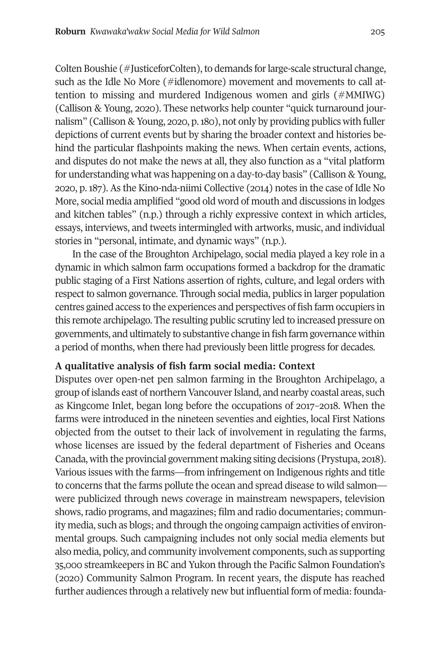Colten Boushie (#JusticeforColten), to demands for large-scale structural change, such as the Idle No More (#idlenomore) movement and movements to call attention to missing and murdered Indigenous women and girls (#MMIWG) (Callison & Young, 2020). These networks help counter "quick turnaround journalism" (Callison & Young, 2020, p. 180), not only by providing publics with fuller depictions of current events but by sharing the broader context and histories behind the particular flashpoints making the news. When certain events, actions, and disputes do not make the news at all, they also function as a "vital platform for understanding what was happening on a day-to-day basis" (Callison & Young, 2020, p. 187). As the Kino-nda-niimi Collective (2014) notes in the case of Idle No More, social media amplified "good old word of mouth and discussions in lodges and kitchen tables" (n.p.) through a richly expressive context in which articles, essays, interviews, and tweets intermingled with artworks, music, and individual stories in "personal, intimate, and dynamic ways" (n.p.).

In the case of the Broughton Archipelago, social media played a key role in a dynamic in which salmon farm occupations formed a backdrop for the dramatic public staging of a First Nations assertion of rights, culture, and legal orders with respect to salmon governance. Through social media, publics in larger population centres gained access to the experiences and perspectives of fish farm occupiers in this remote archipelago. The resulting public scrutiny led to increased pressure on governments, and ultimately to substantive change in fish farm governance within a period of months, when there had previously been little progress for decades.

# **A qualitative analysis of fish farm social media: Context**

Disputes over open-net pen salmon farming in the Broughton Archipelago, a group of islands east of northern Vancouver Island, and nearby coastal areas, such as Kingcome Inlet, began long before the occupations of 2017–2018. When the farms were introduced in the nineteen seventies and eighties, local First Nations objected from the outset to their lack of involvement in regulating the farms, whose licenses are issued by the federal department of Fisheries and Oceans Canada, with the provincial government making siting decisions (Prystupa, 2018). Various issues with the farms—from infringement on Indigenous rights and title to concerns that the farms pollute the ocean and spread disease to wild salmon were publicized through news coverage in mainstream newspapers, television shows, radio programs, and magazines; film and radio documentaries; community media, such as blogs; and through the ongoing campaign activities of environmental groups. Such campaigning includes not only social media elements but also media, policy, and community involvement components, such as supporting 35,000 streamkeepers in BC and Yukon through the Pacific Salmon Foundation's (2020) Community Salmon Program. In recent years, the dispute has reached further audiences through a relatively new but influential form of media: founda-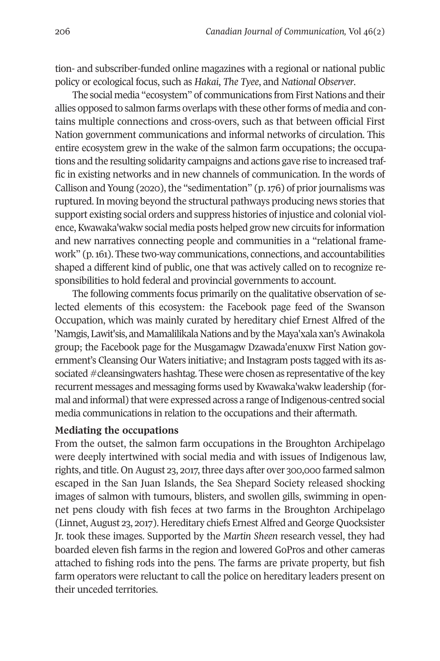tion- and subscriber-funded online magazines with a regional or national public policy or ecological focus, such as *Hakai*, *The Tyee*, and *National Observer*.

The social media "ecosystem" of communications from First Nations and their allies opposed to salmon farms overlaps with these other forms of media and contains multiple connections and cross-overs, such as that between official First Nation government communications and informal networks of circulation. This entire ecosystem grew in the wake of the salmon farm occupations; the occupations and the resulting solidarity campaigns and actions gave rise to increased traffic in existing networks and in new channels of communication. In the words of Callison and Young (2020), the "sedimentation" (p. 176) of prior journalisms was ruptured. In moving beyond the structural pathways producing news stories that support existing social orders and suppress histories of injustice and colonial violence, Kwawaka'wakw social media posts helped grow new circuits for information and new narratives connecting people and communities in a "relational framework" (p. 161). These two-way communications, connections, and accountabilities shaped a different kind of public, one that was actively called on to recognize responsibilities to hold federal and provincial governments to account.

The following comments focus primarily on the qualitative observation of selected elements of this ecosystem: the Facebook page feed of the Swanson Occupation, which was mainly curated by hereditary chief Ernest Alfred of the 'Namgis, Lawit'sis, and Mamalilikala Nations and by the Maya'xala xan's Awinakola group; the Facebook page for the Musgamagw Dzawada'enuxw First Nation government's Cleansing Our Waters initiative; and Instagram posts tagged with its associated #cleansingwaters hashtag. These were chosen as representative of the key recurrent messages and messaging forms used by Kwawaka'wakw leadership (formal and informal) that were expressed across a range of Indigenous-centred social media communications in relation to the occupations and their aftermath.

# **Mediating the occupations**

From the outset, the salmon farm occupations in the Broughton Archipelago were deeply intertwined with social media and with issues of Indigenous law, rights, and title. On August 23, 2017, three days after over 300,000 farmed salmon escaped in the San Juan Islands, the Sea Shepard Society released shocking images of salmon with tumours, blisters, and swollen gills, swimming in opennet pens cloudy with fish feces at two farms in the Broughton Archipelago (Linnet, August 23, 2017). Hereditary chiefs Ernest Alfred and George Quocksister Jr. took these images. Supported by the *Martin Sheen* research vessel, they had boarded eleven fish farms in the region and lowered GoPros and other cameras attached to fishing rods into the pens. The farms are private property, but fish farm operators were reluctant to call the police on hereditary leaders present on their unceded territories.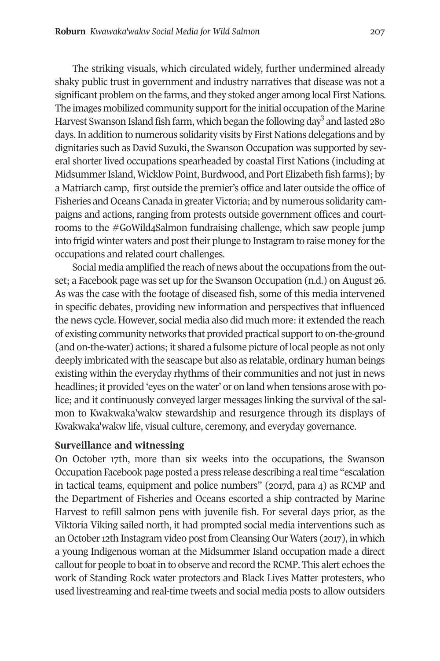The striking visuals, which circulated widely, further undermined already shaky public trust in government and industry narratives that disease was not a significant problem on the farms, and they stoked anger among local First Nations. The images mobilized community support for the initial occupation of the Marine Harvest Swanson Island fish farm, which began the following day<sup>3</sup> and lasted 280 days. In addition to numerous solidarity visits by First Nations delegations and by dignitaries such as David Suzuki, the Swanson Occupation was supported by several shorter lived occupations spearheaded by coastal First Nations (including at Midsummer Island, Wicklow Point, Burdwood, and Port Elizabeth fish farms); by a Matriarch camp, first outside the premier's office and later outside the office of Fisheries and Oceans Canada in greater Victoria; and by numerous solidarity campaigns and actions, ranging from protests outside government offices and courtrooms to the #GoWild4Salmon fundraising challenge, which saw people jump into frigid winter waters and post their plunge to Instagram to raise money for the occupations and related court challenges.

Social media amplified the reach of news about the occupations from the outset; a Facebook page was set up for the Swanson Occupation (n.d.) on August 26. As was the case with the footage of diseased fish, some of this media intervened in specific debates, providing new information and perspectives that influenced the news cycle. However, social media also did much more: it extended the reach of existing community networks that provided practical support to on-the-ground (and on-the-water) actions; it shared a fulsome picture of local people as not only deeply imbricated with the seascape but also as relatable, ordinary human beings existing within the everyday rhythms of their communities and not just in news headlines; it provided 'eyes on the water' or on land when tensions arose with police; and it continuously conveyed larger messages linking the survival of the salmon to Kwakwaka'wakw stewardship and resurgence through its displays of Kwakwaka'wakw life, visual culture, ceremony, and everyday governance.

# **Surveillance and witnessing**

On October 17th, more than six weeks into the occupations, the Swanson Occupation Facebook page posted a press release describing a real time "escalation in tactical teams, equipment and police numbers" (2017d, para 4) as RCMP and the Department of Fisheries and Oceans escorted a ship contracted by Marine Harvest to refill salmon pens with juvenile fish. For several days prior, as the Viktoria Viking sailed north, it had prompted social media interventions such as an October 12th Instagram video post from Cleansing Our Waters (2017), in which a young Indigenous woman at the Midsummer Island occupation made a direct callout for people to boat in to observe and record the RCMP. This alert echoes the work of Standing Rock water protectors and Black Lives Matter protesters, who used livestreaming and real-time tweets and social media posts to allow outsiders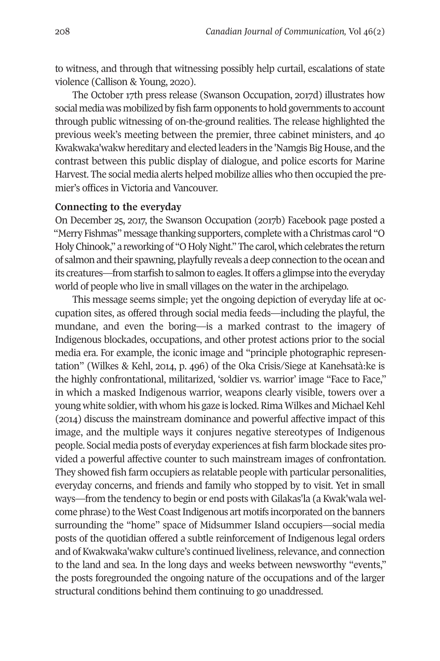to witness, and through that witnessing possibly help curtail, escalations of state violence (Callison & Young, 2020).

The October 17th press release (Swanson Occupation, 2017d) illustrates how social media was mobilized by fish farm opponents to hold governments to account through public witnessing of on-the-ground realities. The release highlighted the previous week's meeting between the premier, three cabinet ministers, and 40 Kwakwaka'wakw hereditary and elected leaders in the 'Namgis Big House, and the contrast between this public display of dialogue, and police escorts for Marine Harvest. The social media alerts helped mobilize allies who then occupied the premier's offices in Victoria and Vancouver.

# **Connecting to the everyday**

On December 25, 2017, the Swanson Occupation (2017b) Facebook page posted a "Merry Fishmas" message thanking supporters, complete with a Christmas carol "O Holy Chinook," a reworking of "O Holy Night." The carol, which celebrates the return of salmon and their spawning, playfully reveals a deep connection to the ocean and its creatures—from starfish to salmon to eagles. It offers a glimpse into the everyday world of people who live in small villages on the water in the archipelago.

This message seems simple; yet the ongoing depiction of everyday life at occupation sites, as offered through social media feeds—including the playful, the mundane, and even the boring—is a marked contrast to the imagery of Indigenous blockades, occupations, and other protest actions prior to the social media era. For example, the iconic image and "principle photographic representation" (Wilkes & Kehl, 2014, p. 496) of the Oka Crisis/Siege at Kanehsatà:ke is the highly confrontational, militarized, 'soldier vs. warrior' image "Face to Face," in which a masked Indigenous warrior, weapons clearly visible, towers over a young white soldier, with whom his gaze is locked. Rima Wilkes and Michael Kehl (2014) discuss the mainstream dominance and powerful affective impact of this image, and the multiple ways it conjures negative stereotypes of Indigenous people. Social media posts of everyday experiences at fish farm blockade sites provided a powerful affective counter to such mainstream images of confrontation. They showed fish farm occupiers as relatable people with particular personalities, everyday concerns, and friends and family who stopped by to visit. Yet in small ways—from the tendency to begin or end posts with Gilakas'la (a Kwak'wala welcome phrase) to the West Coast Indigenous art motifs incorporated on the banners surrounding the "home" space of Midsummer Island occupiers—social media posts of the quotidian offered a subtle reinforcement of Indigenous legal orders and of Kwakwaka'wakw culture's continued liveliness, relevance, and connection to the land and sea. In the long days and weeks between newsworthy "events," the posts foregrounded the ongoing nature of the occupations and of the larger structural conditions behind them continuing to go unaddressed.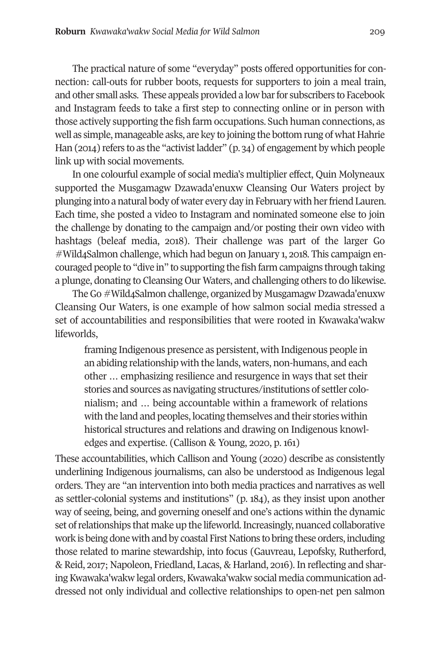The practical nature of some "everyday" posts offered opportunities for connection: call-outs for rubber boots, requests for supporters to join a meal train, and other small asks. These appeals provided a low bar for subscribers to Facebook and Instagram feeds to take a first step to connecting online or in person with those actively supporting the fish farm occupations. Such human connections, as well as simple, manageable asks, are key to joining the bottom rung of what Hahrie Han (2014) refers to as the "activist ladder" (p. 34) of engagement by which people link up with social movements.

In one colourful example of social media's multiplier effect, Quin Molyneaux supported the Musgamagw Dzawada'enuxw Cleansing Our Waters project by plunging into a natural body of water every day in February with her friend Lauren. Each time, she posted a video to Instagram and nominated someone else to join the challenge by donating to the campaign and/or posting their own video with hashtags (beleaf media, 2018). Their challenge was part of the larger Go #Wild4Salmon challenge, which had begun on January 1, 2018. This campaign encouraged people to "dive in" to supporting the fish farm campaigns through taking a plunge, donating to Cleansing Our Waters, and challenging others to do likewise.

The Go #Wild4Salmon challenge, organized by Musgamagw Dzawada'enuxw Cleansing Our Waters, is one example of how salmon social media stressed a set of accountabilities and responsibilities that were rooted in Kwawaka'wakw lifeworlds,

framing Indigenous presence as persistent, with Indigenous people in an abiding relationship with the lands, waters, non-humans, and each other … emphasizing resilience and resurgence in ways that set their stories and sources as navigating structures/institutions of settler colonialism; and … being accountable within a framework of relations with the land and peoples, locating themselves and their stories within historical structures and relations and drawing on Indigenous knowledges and expertise. (Callison & Young, 2020, p. 161)

These accountabilities, which Callison and Young (2020) describe as consistently underlining Indigenous journalisms, can also be understood as Indigenous legal orders. They are "an intervention into both media practices and narratives as well as settler-colonial systems and institutions" (p. 184), as they insist upon another way of seeing, being, and governing oneself and one's actions within the dynamic set of relationships that make up the lifeworld. Increasingly, nuanced collaborative work is being done with and by coastal First Nations to bring these orders, including those related to marine stewardship, into focus (Gauvreau, Lepofsky, Rutherford, & Reid, 2017; Napoleon, Friedland, Lacas, & Harland, 2016). In reflecting and sharing Kwawaka'wakw legal orders, Kwawaka'wakw social media communication addressed not only individual and collective relationships to open-net pen salmon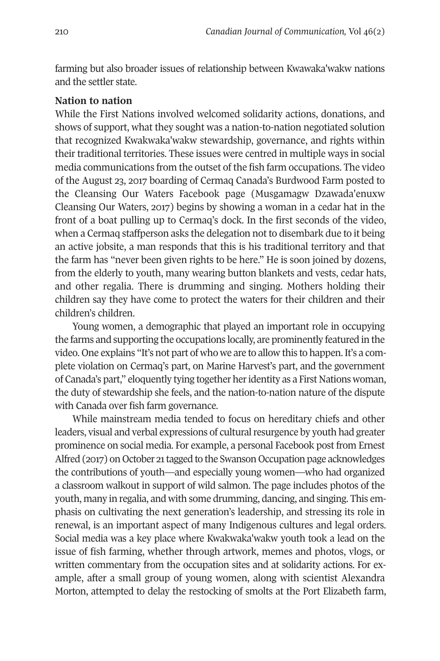farming but also broader issues of relationship between Kwawaka'wakw nations and the settler state.

# **Nation to nation**

While the First Nations involved welcomed solidarity actions, donations, and shows of support, what they sought was a nation-to-nation negotiated solution that recognized Kwakwaka'wakw stewardship, governance, and rights within their traditional territories. These issues were centred in multiple ways in social media communications from the outset of the fish farm occupations. The video of the August 23, 2017 boarding of Cermaq Canada's Burdwood Farm posted to the Cleansing Our Waters Facebook page (Musgamagw Dzawada'enuxw Cleansing Our Waters, 2017) begins by showing a woman in a cedar hat in the front of a boat pulling up to Cermaq's dock. In the first seconds of the video, when a Cermaq staffperson asks the delegation not to disembark due to it being an active jobsite, a man responds that this is his traditional territory and that the farm has "never been given rights to be here." He is soon joined by dozens, from the elderly to youth, many wearing button blankets and vests, cedar hats, and other regalia. There is drumming and singing. Mothers holding their children say they have come to protect the waters for their children and their children's children.

Young women, a demographic that played an important role in occupying the farms and supporting the occupations locally, are prominently featured in the video. One explains "It's not part of who we are to allow this to happen. It's a complete violation on Cermaq's part, on Marine Harvest's part, and the government of Canada's part," eloquently tying together her identity as a First Nations woman, the duty of stewardship she feels, and the nation-to-nation nature of the dispute with Canada over fish farm governance.

While mainstream media tended to focus on hereditary chiefs and other leaders, visual and verbal expressions of cultural resurgence by youth had greater prominence on social media. For example, a personal Facebook post from Ernest Alfred (2017) on October 21 tagged to the Swanson Occupation page acknowledges the contributions of youth—and especially young women—who had organized a classroom walkout in support of wild salmon. The page includes photos of the youth, many in regalia, and with some drumming, dancing, and singing. This emphasis on cultivating the next generation's leadership, and stressing its role in renewal, is an important aspect of many Indigenous cultures and legal orders. Social media was a key place where Kwakwaka'wakw youth took a lead on the issue of fish farming, whether through artwork, memes and photos, vlogs, or written commentary from the occupation sites and at solidarity actions. For example, after a small group of young women, along with scientist Alexandra Morton, attempted to delay the restocking of smolts at the Port Elizabeth farm,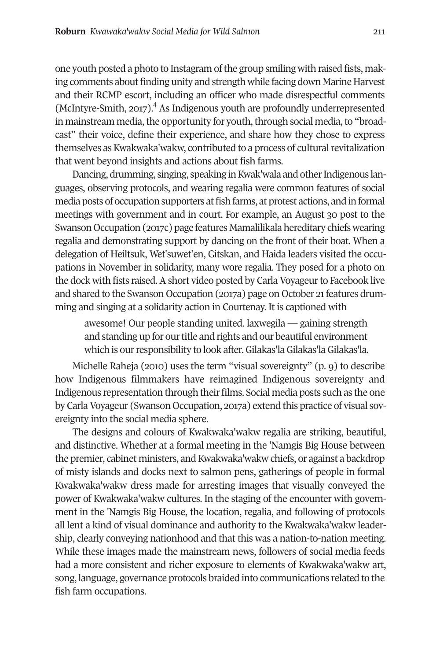one youth posted a photo to Instagram of the group smiling with raised fists, making comments about finding unity and strength while facing down Marine Harvest and their RCMP escort, including an officer who made disrespectful comments (McIntyre-Smith, 2017).<sup>4</sup> As Indigenous youth are profoundly underrepresented in mainstream media, the opportunity for youth, through social media, to "broadcast" their voice, define their experience, and share how they chose to express themselves as Kwakwaka'wakw, contributed to a process of cultural revitalization that went beyond insights and actions about fish farms.

Dancing, drumming, singing, speaking in Kwak'wala and other Indigenous languages, observing protocols, and wearing regalia were common features of social media posts of occupation supporters at fish farms, at protest actions, and in formal meetings with government and in court. For example, an August 30 post to the Swanson Occupation (2017c) page features Mamalilikala hereditary chiefs wearing regalia and demonstrating support by dancing on the front of their boat. When a delegation of Heiltsuk, Wet'suwet'en, Gitskan, and Haida leaders visited the occupations in November in solidarity, many wore regalia. They posed for a photo on the dock with fists raised. A short video posted by Carla Voyageur to Facebook live and shared to the Swanson Occupation (2017a) page on October 21 features drumming and singing at a solidarity action in Courtenay. It is captioned with

awesome! Our people standing united. laxwegila — gaining strength and standing up for our title and rights and our beautiful environment which is our responsibility to look after. Gilakas'la Gilakas'la Gilakas'la.

Michelle Raheja (2010) uses the term "visual sovereignty" (p. 9) to describe how Indigenous filmmakers have reimagined Indigenous sovereignty and Indigenous representation through their films. Social media posts such as the one by Carla Voyageur (Swanson Occupation, 2017a) extend this practice of visual sovereignty into the social media sphere.

The designs and colours of Kwakwaka'wakw regalia are striking, beautiful, and distinctive. Whether at a formal meeting in the 'Namgis Big House between the premier, cabinet ministers, and Kwakwaka'wakw chiefs, or against a backdrop of misty islands and docks next to salmon pens, gatherings of people in formal Kwakwaka'wakw dress made for arresting images that visually conveyed the power of Kwakwaka'wakw cultures. In the staging of the encounter with government in the 'Namgis Big House, the location, regalia, and following of protocols all lent a kind of visual dominance and authority to the Kwakwaka'wakw leadership, clearly conveying nationhood and that this was a nation-to-nation meeting. While these images made the mainstream news, followers of social media feeds had a more consistent and richer exposure to elements of Kwakwaka'wakw art, song, language, governance protocols braided into communications related to the fish farm occupations.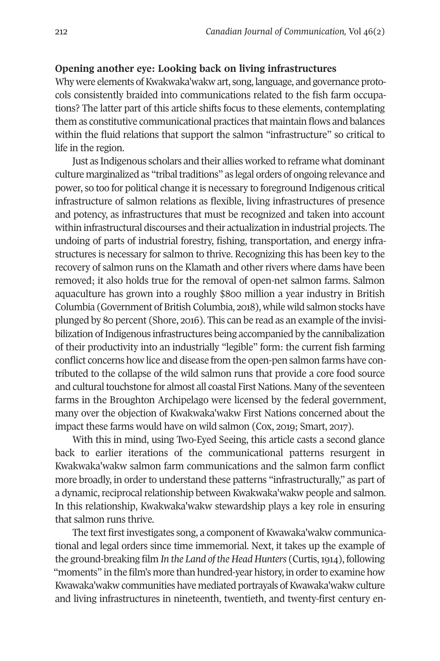# **Opening another eye: Looking back on living infrastructures**

Why were elements of Kwakwaka'wakw art, song, language, and governance protocols consistently braided into communications related to the fish farm occupations? The latter part of this article shifts focus to these elements, contemplating them as constitutive communicational practices that maintain flows and balances within the fluid relations that support the salmon "infrastructure" so critical to life in the region.

Just as Indigenous scholars and their allies worked to reframe what dominant culture marginalized as "tribal traditions" as legal orders of ongoing relevance and power, so too for political change it is necessary to foreground Indigenous critical infrastructure of salmon relations as flexible, living infrastructures of presence and potency, as infrastructures that must be recognized and taken into account within infrastructural discourses and their actualization in industrial projects. The undoing of parts of industrial forestry, fishing, transportation, and energy infrastructures is necessary for salmon to thrive. Recognizing this has been key to the recovery of salmon runs on the Klamath and other rivers where dams have been removed; it also holds true for the removal of open-net salmon farms. Salmon aquaculture has grown into a roughly \$800 million a year industry in British Columbia (Government of British Columbia, 2018), while wild salmon stocks have plunged by 80 percent (Shore, 2016). This can be read as an example of the invisibilization of Indigenous infrastructures being accompanied by the cannibalization of their productivity into an industrially "legible" form: the current fish farming conflict concerns how lice and disease from the open-pen salmon farms have contributed to the collapse of the wild salmon runs that provide a core food source and cultural touchstone for almost all coastal First Nations. Many of the seventeen farms in the Broughton Archipelago were licensed by the federal government, many over the objection of Kwakwaka'wakw First Nations concerned about the impact these farms would have on wild salmon (Cox, 2019; Smart, 2017).

With this in mind, using Two-Eyed Seeing, this article casts a second glance back to earlier iterations of the communicational patterns resurgent in Kwakwaka'wakw salmon farm communications and the salmon farm conflict more broadly, in order to understand these patterns "infrastructurally," as part of a dynamic, reciprocal relationship between Kwakwaka'wakw people and salmon. In this relationship, Kwakwaka'wakw stewardship plays a key role in ensuring that salmon runs thrive.

The text first investigates song, a component of Kwawaka'wakw communicational and legal orders since time immemorial. Next, it takes up the example of the ground-breaking film *In the Land of the Head Hunters* (Curtis, 1914), following "moments" in the film's more than hundred-year history, in order to examine how Kwawaka'wakw communities have mediated portrayals of Kwawaka'wakw culture and living infrastructures in nineteenth, twentieth, and twenty-first century en-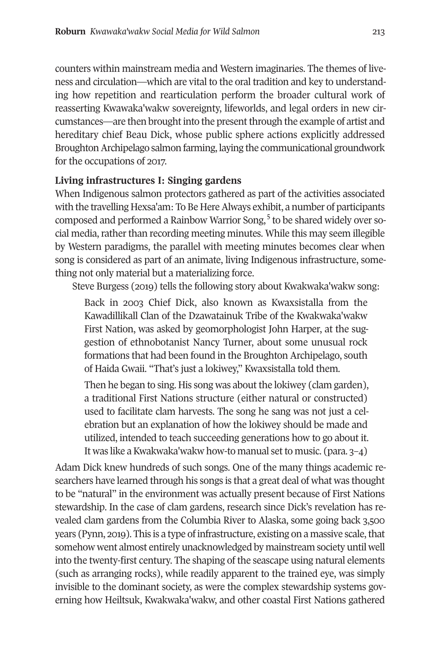counters within mainstream media and Western i[ma](#page-20-2)ginaries. The themes of liveness and circulation—which are vital to the oral tradition and key to understanding how repetition and rearticulation perform the broader cultural work of reasserting Kwawaka'wakw sovereignty, lifeworlds, and legal orders in new circumstances—are then brought into the present through the example of artist and hereditary chief Beau Dick, whose public sphere actions explicitly addressed Broughton Archipelago salmon farming, laying the communicational groundwork for the occupations of 2017.

# **Living infrastructures I: Singing gardens**

When Indigenous salmon protectors gathered as part of the activities associated with the travelling Hexsa'am: To Be Here Always exhibit, a number of participants composed and performed a Rainbow Warrior Song,<sup>5</sup> to be shared widely over social media, rather than recording meeting minutes. While this may seem illegible by Western paradigms, the parallel with meeting minutes becomes clear when song is considered as part of an animate, living Indigenous infrastructure, something not only material but a materializing force.

Steve Burgess (2019) tells the following story about Kwakwaka'wakw song:

Back in 2003 Chief Dick, also known as Kwaxsistalla from the Kawadillikall Clan of the Dzawatainuk Tribe of the Kwakwaka'wakw First Nation, was asked by geomorphologist John Harper, at the suggestion of ethnobotanist Nancy Turner, about some unusual rock formations that had been found in the Broughton Archipelago, south of Haida Gwaii. "That's just a lokiwey," Kwaxsistalla told them.

Then he began to sing. His song was about the lokiwey (clam garden), a traditional First Nations structure (either natural or constructed) used to facilitate clam harvests. The song he sang was not just a celebration but an explanation of how the lokiwey should be made and utilized, intended to teach succeeding generations how to go about it. It was like a Kwakwaka'wakw how-to manual set to music. (para. 3–4)

Adam Dick knew hundreds of such songs. One of the many things academic researchers have learned through his songs is that a great deal of what was thought to be "natural" in the environment was actually present because of First Nations stewardship. In the case of clam gardens, research since Dick's revelation has revealed clam gardens from the Columbia River to Alaska, some going back 3,500 years (Pynn, 2019). This is a type of infrastructure, existing on a massive scale, that somehow went almost entirely unacknowledged by mainstream society until well into the twenty-first century. The shaping of the seascape using natural elements (such as arranging rocks), while readily apparent to the trained eye, was simply invisible to the dominant society, as were the complex stewardship systems governing how Heiltsuk, Kwakwaka'wakw, and other coastal First Nations gathered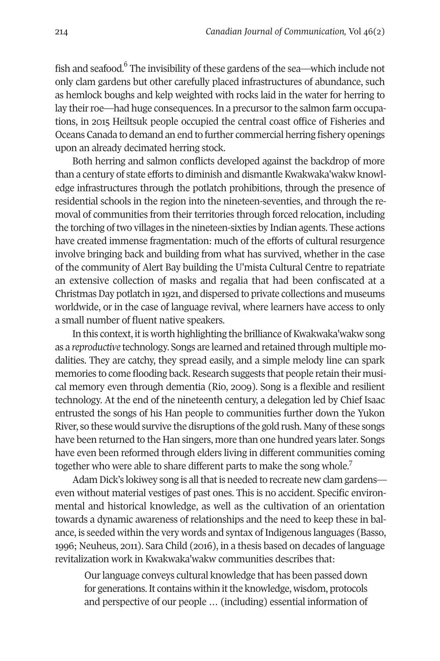fish and seafood.<sup>6</sup> The invisibility of these gardens of the sea—which include not only clam gardens but other carefully placed infrastructures of abundance, such as hemlock boughs and kelp weighted with rocks laid in the water for herring to lay their roe—had huge consequences. In a precursor to the salmon farm occupations, in 2015 Heiltsuk people occupied the central coast office of Fisheries and Oceans Canada to demand an end to further commercial herring fishery openings upon an already decimated herring stock.

Both herring and salmon conflicts developed against the backdrop of more than a century of state efforts to diminish and dismantle Kwakwaka'wakw knowledge infrastructures through the potlatch prohibitions, through the presence of residential schools in the region into the nineteen-seventies, and through the removal of communities from their territories through forced relocation, including the torching of two villages in the nineteen-sixties by Indian agents. These actions have created immense fragmentation: much of the efforts of cultural resurgence involve bringing back and building from what has survived, whether in the case of the community of Alert Bay building the U'mista Cultural Centre to repatriate an extensive collection of masks and regalia that had been confiscated at a Christmas Day potlatch in 1921, and dispersed to private collections and museums worldwide, or in the case of language revival, where learners have acce[ss](#page-20-3) to only a small number of fluent native speakers.

In this context, it is worth highlighting the brilliance of Kwakwaka'wakw song as a *reproductive* technology. Songs are learned and retained through multiple modalities. They are catchy, they spread easily, and a simple melody line can spark memories to come flooding back. Research suggests that people retain their musical memory even through dementia (Rio, 2009). Song is a flexible and resilient technology. At the end of the nineteenth century, a delegation led by Chief Isaac entrusted the songs of his Han people to communities further down the Yukon River, so these would survive the disruptions of the gold rush. Many of these songs have been returned to the Han singers, more than one hundred years later. Songs have even been reformed through elders living in different communities coming together who were able to share different parts to make the song whole.7

Adam Dick's lokiwey song is all that is needed to recreate new clam gardens even without material vestiges of past ones. This is no accident. Specific environmental and historical knowledge, as well as the cultivation of an orientation towards a dynamic awareness of relationships and the need to keep these in balance, is seeded within the very words and syntax of Indigenous languages (Basso, 1996; Neuheus, 2011). Sara Child (2016), in a thesis based on decades of language revitalization work in Kwakwaka'wakw communities describes that:

Our language conveys cultural knowledge that has been passed down for generations. It contains within it the knowledge, wisdom, protocols and perspective of our people … (including) essential information of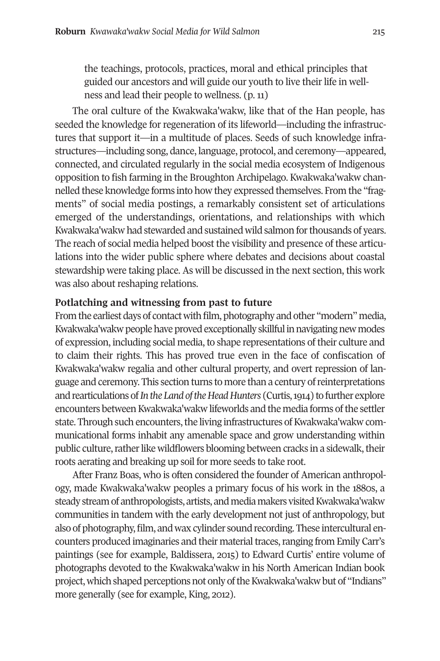the teachings, protocols, practices, moral and ethical principles that guided our ancestors and will guide our youth to live their life in wellness and lead their people to wellness. (p. 11)

The oral culture of the Kwakwaka'wakw, like that of the Han people, has seeded the knowledge for regeneration of its lifeworld—including the infrastructures that support it—in a multitude of places. Seeds of such knowledge infrastructures—including song, dance, language, protocol, and ceremony—appeared, connected, and circulated regularly in the social media ecosystem of Indigenous opposition to fish farming in the Broughton Archipelago. Kwakwaka'wakw channelled these knowledge forms into how they expressed themselves. From the "fragments" of social media postings, a remarkably consistent set of articulations emerged of the understandings, orientations, and relationships with which Kwakwaka'wakw had stewarded and sustained wild salmon for thousands of years. The reach of social media helped boost the visibility and presence of these articulations into the wider public sphere where debates and decisions about coastal stewardship were taking place. As will be discussed in the next section, this work was also about reshaping relations.

# **Potlatching and witnessing from past to future**

From the earliest days of contact with film, photography and other "modern" media, Kwakwaka'wakw people have proved exceptionally skillful in navigating new modes of expression, including social media, to shape representations of their culture and to claim their rights. This has proved true even in the face of confiscation of Kwakwaka'wakw regalia and other cultural property, and overt repression of language and ceremony. This section turns to more than a century of reinterpretations and rearticulations of *In the Land of the Head Hunters* (Curtis, 1914) to further explore encounters between Kwakwaka'wakw lifeworlds and the media forms of the settler state. Through such encounters, the living infrastructures of Kwakwaka'wakw communicational forms inhabit any amenable space and grow understanding within public culture, rather like wildflowers blooming between cracks in a sidewalk, their roots aerating and breaking up soil for more seeds to take root.

After Franz Boas, who is often considered the founder of American anthropology, made Kwakwaka'wakw peoples a primary focus of his work in the 1880s, a steady stream of anthropologists, artists, and media makers visited Kwakwaka'wakw communities in tandem with the early development not just of anthropology, but also of photography, film, and wax cylinder sound recording. These intercultural encounters produced imaginaries and their material traces, ranging from Emily Carr's paintings (see for example, Baldissera, 2015) to Edward Curtis' entire volume of photographs devoted to the Kwakwaka'wakw in his North American Indian book project, which shaped perceptions not only of the Kwakwaka'wakw but of "Indians" more generally (see for example, King, 2012).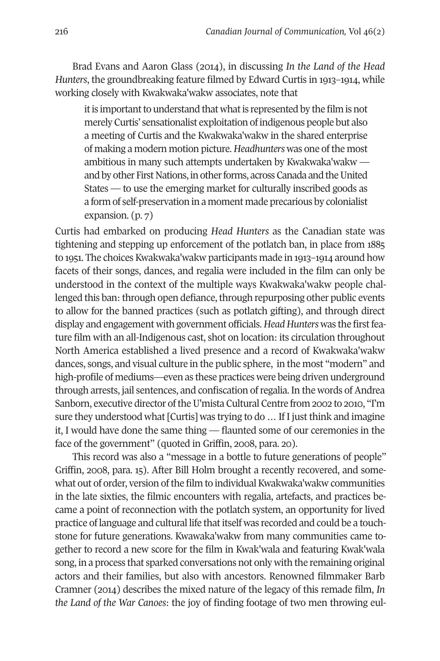Brad Evans and Aaron Glass (2014), in discussing *In the Land of the Head Hunters*, the groundbreaking feature filmed by Edward Curtis in 1913–1914, while working closely with Kwakwaka'wakw associates, note that

it is important to understand that what is represented by the film is not merely Curtis' sensationalist exploitation of indigenous people but also a meeting of Curtis and the Kwakwaka'wakw in the shared enterprise of making a modern motion picture. *Headhunters* was one of the most ambitious in many such attempts undertaken by Kwakwaka'wakw and by other First Nations, in other forms, across Canada and the United States — to use the emerging market for culturally inscribed goods as a form of self-preservation in a moment made precarious by colonialist expansion. (p. 7)

Curtis had embarked on producing *Head Hunters* as the Canadian state was tightening and stepping up enforcement of the potlatch ban, in place from 1885 to 1951. The choices Kwakwaka'wakw participants made in 1913–1914 around how facets of their songs, dances, and regalia were included in the film can only be understood in the context of the multiple ways Kwakwaka'wakw people challenged this ban: through open defiance, through repurposing other public events to allow for the banned practices (such as potlatch gifting), and through direct display and engagement with government officials. *Head Hunters* was the first feature film with an all-Indigenous cast, shot on location: its circulation throughout North America established a lived presence and a record of Kwakwaka'wakw dances, songs, and visual culture in the public sphere, in the most "modern" and high-profile of mediums—even as these practices were being driven underground through arrests, jail sentences, and confiscation of regalia. In the words of Andrea Sanborn, executive director of the U'mista Cultural Centre from 2002 to 2010, "I'm sure they understood what [Curtis] was trying to do … If I just think and imagine it, I would have done the same thing — flaunted some of our ceremonies in the face of the government" (quoted in Griffin, 2008, para. 20).

This record was also a "message in a bottle to future generations of people" Griffin, 2008, para. 15). After Bill Holm brought a recently recovered, and somewhat out of order, version of the film to individual Kwakwaka'wakw communities in the late sixties, the filmic encounters with regalia, artefacts, and practices became a point of reconnection with the potlatch system, an opportunity for lived practice of language and cultural life that itself was recorded and could be a touchstone for future generations. Kwawaka'wakw from many communities came together to record a new score for the film in Kwak'wala and featuring Kwak'wala song, in a process that sparked conversations not only with the remaining original actors and their families, but also with ancestors. Renowned filmmaker Barb Cramner (2014) describes the mixed nature of the legacy of this remade film, *In the Land of the War Canoes*: the joy of finding footage of two men throwing eul-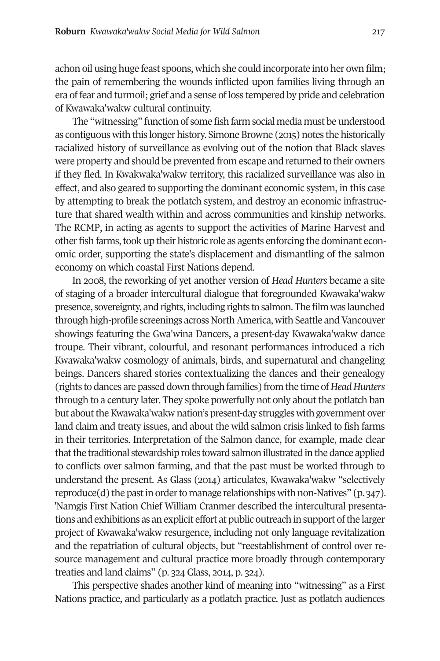achon oil using huge feast spoons, which she could incorporate into her own film; the pain of remembering the wounds inflicted upon families living through an era of fear and turmoil; grief and a sense of loss tempered by pride and celebration of Kwawaka'wakw cultural continuity.

The "witnessing" function of some fish farm social media must be understood as contiguous with this longer history. Simone Browne (2015) notes the historically racialized history of surveillance as evolving out of the notion that Black slaves were property and should be prevented from escape and returned to their owners if they fled. In Kwakwaka'wakw territory, this racialized surveillance was also in effect, and also geared to supporting the dominant economic system, in this case by attempting to break the potlatch system, and destroy an economic infrastructure that shared wealth within and across communities and kinship networks. The RCMP, in acting as agents to support the activities of Marine Harvest and other fish farms, took up their historic role as agents enforcing the dominant economic order, supporting the state's displacement and dismantling of the salmon economy on which coastal First Nations depend.

In 2008, the reworking of yet another version of *Head Hunters* became a site of staging of a broader intercultural dialogue that foregrounded Kwawaka'wakw presence, sovereignty, and rights, including rights to salmon. The film was launched through high-profile screenings across North America, with Seattle and Vancouver showings featuring the Gwa'wina Dancers, a present-day Kwawaka'wakw dance troupe. Their vibrant, colourful, and resonant performances introduced a rich Kwawaka'wakw cosmology of animals, birds, and supernatural and changeling beings. Dancers shared stories contextualizing the dances and their genealogy (rights to dances are passed down through families) from the time of *Head Hunters* through to a century later. They spoke powerfully not only about the potlatch ban but about the Kwawaka'wakw nation's present-day struggles with government over land claim and treaty issues, and about the wild salmon crisis linked to fish farms in their territories. Interpretation of the Salmon dance, for example, made clear that the traditional stewardship roles toward salmon illustrated in the dance applied to conflicts over salmon farming, and that the past must be worked through to understand the present. As Glass (2014) articulates, Kwawaka'wakw "selectively reproduce(d) the past in order to manage relationships with non-Natives" (p. 347). 'Namgis First Nation Chief William Cranmer described the intercultural presentations and exhibitions as an explicit effort at public outreach in support of the larger project of Kwawaka'wakw resurgence, including not only language revitalization and the repatriation of cultural objects, but "reestablishment of control over resource management and cultural practice more broadly through contemporary treaties and land claims" (p. 324 Glass, 2014, p. 324).

This perspective shades another kind of meaning into "witnessing" as a First Nations practice, and particularly as a potlatch practice. Just as potlatch audiences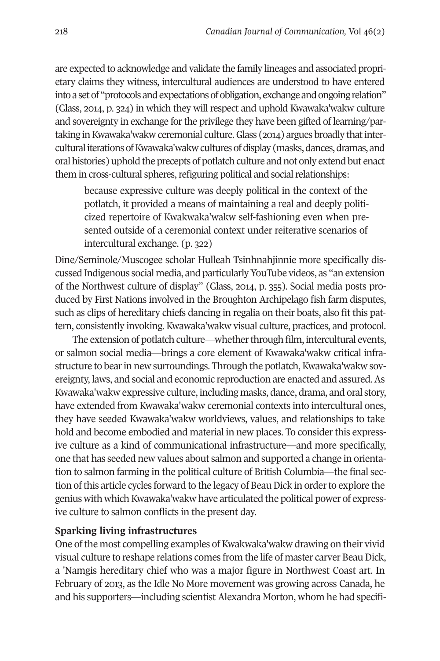are expected to acknowledge and validate the family lineages and associated proprietary claims they witness, intercultural audiences are understood to have entered into a set of "protocols and expectations of obligation, exchange and ongoing relation" (Glass, 2014, p. 324) in which they will respect and uphold Kwawaka'wakw culture and sovereignty in exchange for the privilege they have been gifted of learning/partaking in Kwawaka'wakw ceremonial culture. Glass (2014) argues broadly that intercultural iterations of Kwawaka'wakw cultures of display (masks, dances, dramas, and oral histories) uphold the precepts of potlatch culture and not only extend but enact them in cross-cultural spheres, refiguring political and social relationships:

because expressive culture was deeply political in the context of the potlatch, it provided a means of maintaining a real and deeply politicized repertoire of Kwakwaka'wakw self-fashioning even when presented outside of a ceremonial context under reiterative scenarios of intercultural exchange. (p. 322)

Dine/Seminole/Muscogee scholar Hulleah Tsinhnahjinnie more specifically discussed Indigenous social media, and particularly YouTube videos, as "an extension of the Northwest culture of display" (Glass, 2014, p. 355). Social media posts produced by First Nations involved in the Broughton Archipelago fish farm disputes, such as clips of hereditary chiefs dancing in regalia on their boats, also fit this pattern, consistently invoking. Kwawaka'wakw visual culture, practices, and protocol.

The extension of potlatch culture—whether through film, intercultural events, or salmon social media—brings a core element of Kwawaka'wakw critical infrastructure to bear in new surroundings. Through the potlatch, Kwawaka'wakw sovereignty, laws, and social and economic reproduction are enacted and assured. As Kwawaka'wakw expressive culture, including masks, dance, drama, and oral story, have extended from Kwawaka'wakw ceremonial contexts into intercultural ones, they have seeded Kwawaka'wakw worldviews, values, and relationships to take hold and become embodied and material in new places. To consider this expressive culture as a kind of communicational infrastructure—and more specifically, one that has seeded new values about salmon and supported a change in orientation to salmon farming in the political culture of British Columbia—the final section of this article cycles forward to the legacy of Beau Dick in order to explore the genius with which Kwawaka'wakw have articulated the political power of expressive culture to salmon conflicts in the present day.

# **Sparking living infrastructures**

One of the most compelling examples of Kwakwaka'wakw drawing on their vivid visual culture to reshape relations comes from the life of master carver Beau Dick, a 'Namgis hereditary chief who was a major figure in Northwest Coast art. In February of 2013, as the Idle No More movement was growing across Canada, he and his supporters—including scientist Alexandra Morton, whom he had specifi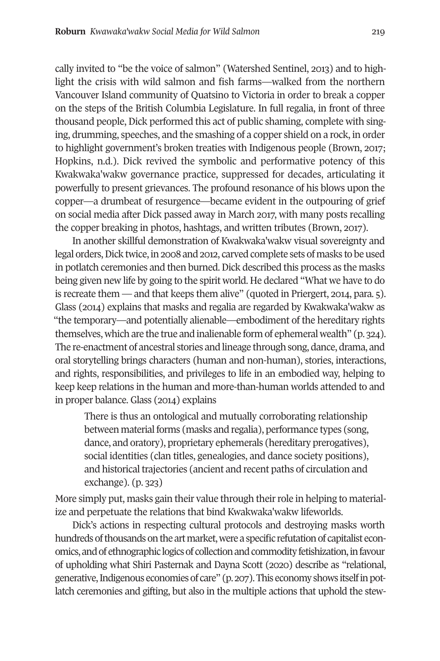cally invited to "be the voice of salmon" (Watershed Sentinel, 2013) and to highlight the crisis with wild salmon and fish farms—walked from the northern Vancouver Island community of Quatsino to Victoria in order to break a copper on the steps of the British Columbia Legislature. In full regalia, in front of three thousand people, Dick performed this act of public shaming, complete with singing, drumming, speeches, and the smashing of a copper shield on a rock, in order to highlight government's broken treaties with Indigenous people (Brown, 2017; Hopkins, n.d.). Dick revived the symbolic and performative potency of this Kwakwaka'wakw governance practice, suppressed for decades, articulating it powerfully to present grievances. The profound resonance of his blows upon the copper—a drumbeat of resurgence—became evident in the outpouring of grief on social media after Dick passed away in March 2017, with many posts recalling the copper breaking in photos, hashtags, and written tributes (Brown, 2017).

In another skillful demonstration of Kwakwaka'wakw visual sovereignty and legal orders, Dick twice, in 2008 and 2012, carved complete sets of masks to be used in potlatch ceremonies and then burned. Dick described this process as the masks being given new life by going to the spirit world. He declared "What we have to do is recreate them — and that keeps them alive" (quoted in Priergert, 2014, para. 5). Glass (2014) explains that masks and regalia are regarded by Kwakwaka'wakw as "the temporary—and potentially alienable—embodiment of the hereditary rights themselves, which are the true and inalienable form of ephemeral wealth" (p. 324). The re-enactment of ancestral stories and lineage through song, dance, drama, and oral storytelling brings characters (human and non-human), stories, interactions, and rights, responsibilities, and privileges to life in an embodied way, helping to keep keep relations in the human and more-than-human worlds attended to and in proper balance. Glass (2014) explains

There is thus an ontological and mutually corroborating relationship between material forms (masks and regalia), performance types (song, dance, and oratory), proprietary ephemerals (hereditary prerogatives), social identities (clan titles, genealogies, and dance society positions), and historical trajectories (ancient and recent paths of circulation and exchange). (p. 323)

More simply put, masks gain their value through their role in helping to materialize and perpetuate the relations that bind Kwakwaka'wakw lifeworlds.

Dick's actions in respecting cultural protocols and destroying masks worth hundreds of thousands on the art market, were a specific refutation of capitalist economics, and of ethnographic logics of collection and commodity fetishization, in favour of upholding what Shiri Pasternak and Dayna Scott (2020) describe as "relational, generative, Indigenous economies of care" (p. 207). This economy shows itself in potlatch ceremonies and gifting, but also in the multiple actions that uphold the stew-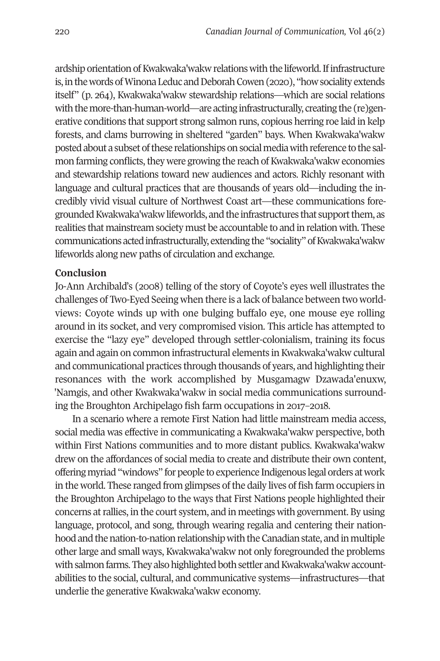ardship orientation of Kwakwaka'wakw relations with the lifeworld. If infrastructure is, in the words of Winona Leduc and Deborah Cowen (2020), "how sociality extends itself" (p. 264), Kwakwaka'wakw stewardship relations—which are social relations with the more-than-human-world—are acting infrastructurally, creating the (re)generative conditions that support strong salmon runs, copious herring roe laid in kelp forests, and clams burrowing in sheltered "garden" bays. When Kwakwaka'wakw posted about a subset of these relationships on social media with reference to the salmon farming conflicts, they were growing the reach of Kwakwaka'wakw economies and stewardship relations toward new audiences and actors. Richly resonant with language and cultural practices that are thousands of years old—including the incredibly vivid visual culture of Northwest Coast art—these communications foregrounded Kwakwaka'wakw lifeworlds, and the infrastructures that support them, as realities that mainstream society must be accountable to and in relation with. These communications acted infrastructurally, extending the "sociality" of Kwakwaka'wakw lifeworlds along new paths of circulation and exchange.

# **Conclusion**

Jo-Ann Archibald's (2008) telling of the story of Coyote's eyes well illustrates the challenges of Two-Eyed Seeing when there is a lack of balance between two worldviews: Coyote winds up with one bulging buffalo eye, one mouse eye rolling around in its socket, and very compromised vision. This article has attempted to exercise the "lazy eye" developed through settler-colonialism, training its focus again and again on common infrastructural elements in Kwakwaka'wakw cultural and communicational practices through thousands of years, and highlighting their resonances with the work accomplished by Musgamagw Dzawada'enuxw, 'Namgis, and other Kwakwaka'wakw in social media communications surrounding the Broughton Archipelago fish farm occupations in 2017–2018.

In a scenario where a remote First Nation had little mainstream media access, social media was effective in communicating a Kwakwaka'wakw perspective, both within First Nations communities and to more distant publics. Kwakwaka'wakw drew on the affordances of social media to create and distribute their own content, offering myriad "windows" for people to experience Indigenous legal orders at work in the world. These ranged from glimpses of the daily lives of fish farm occupiers in the Broughton Archipelago to the ways that First Nations people highlighted their concerns at rallies, in the court system, and in meetings with government. By using language, protocol, and song, through wearing regalia and centering their nationhood and the nation-to-nation relationship with the Canadian state, and in multiple other large and small ways, Kwakwaka'wakw not only foregrounded the problems with salmon farms. They also highlighted both settler and Kwakwaka'wakw accountabilities to the social, cultural, and communicative systems—infrastructures—that underlie the generative Kwakwaka'wakw economy.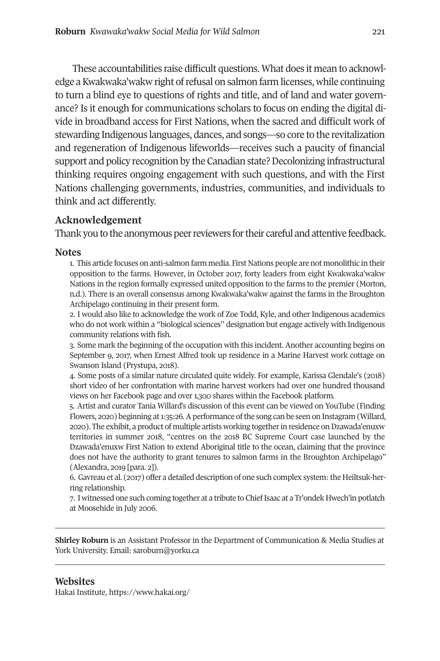These accountabilities raise difficult questions. What does it mean to acknowledge a Kwakwaka'wakw right of refusal on salmon farm licenses, while continuing to turn a blind eye to questions of rights and title, and of land and water governance? Is it enough for communications scholars to focus on ending the digital divide in broadband access for First Nations, when the sacred and difficult work of stewarding Indigenous languages, dances, and songs—so core to the revitalization and regeneration of Indigenous lifeworlds—receives such a paucity of financial support and policy recognition by the Canadian state? Decolonizing infrastructural thinking requires ongoing engagement with such questions, and with the First Nations challenging governments, industries, communities, and individuals to think and act differently.

# **Acknowledgement**

Thank you to the anonymous peer reviewers for their careful and attentive feedback.

#### **Notes**

1. This article focuses on anti-salmon farm media. First Nations people are not monolithic in their opposition to the farms. However, in October 2017, forty leaders from eight Kwakwaka'wakw Nations in the region formally expressed united opposition to the farms to the premier (Morton, n.d.). There is an overall consensus among Kwakwaka'wakw against the farms in the Broughton Archipelago continuing in their present form.

2. I would also like to acknowledge the work of Zoe Todd, Kyle, and other Indigenous academics who do not work within a "biological sciences" designation but engage actively with Indigenous community relations with fish.

3. Some mark the beginning of the occupation with this incident. Another accounting begins on September 9, 2017, when Ernest Alfred took up residence in a Marine Harvest work cottage on Swanson Island (Prystupa, 2018).

4. Some posts of a similar nature circulated quite widely. For example, Karissa Glendale's (2018) short video of her confrontation with marine harvest workers had over one hundred thousand views on her Facebook page and over 1,300 shares within the Facebook platform.

5. Artist and curat[or Tania Willard's disc](mailto:saroburn@yorku.ca)ussion of this event can be viewed on YouTube (Finding Flowers, 2020) beginning at 1:35:26. A performance of the song can be seen on Instagram (Willard, 2020). The exhibit, a product of multiple artists working together in residence on Dzawada'enuxw territories in summer 2018, "centres on the 2018 BC Supreme Court case launched by the Dzawada'enuxw [First Nation to exten](https://www.hakai.org/)d Aboriginal title to the ocean, claiming that the province does not have the authority to grant tenures to salmon farms in the Broughton Archipelago" (Alexandra, 2019 [para. 2]).

6. Gavreau et al. (2017) offer a detailed description of one such complex system: the Heiltsuk-herring relationship.

7. I witnessed one such coming together at a tribute to Chief Isaac at a Tr'ondek Hwech'in potlatch at Moosehide in July 2006.

**Shirley Roburn** is an Assistant Professor in the Department of Communication & Media Studies at York University. Email: saroburn@yorku.ca

<span id="page-20-3"></span><span id="page-20-2"></span><span id="page-20-1"></span><span id="page-20-0"></span>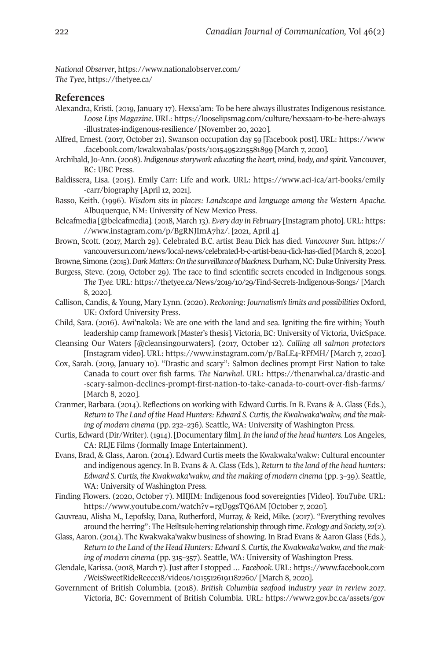*National Observer*, https://www.nationalobserver.com/ *The Tyee*[, https://thetyee.ca/](https://www.instagram.com/p/BgRNJImA7hz/) 

### **References**

- Alexand[ra, Kristi. \(2019, January 17\). Hexsa'am: To be here always illustrates Indige](https://vancouversun.com/news/local-news/celebrated-b-c-artist-beau-dick-has-died)nous resistance. *Loose Lips Magazine*. URL: https://looselipsmag.com/culture/hexsaam-to-be-here-always -illustrates-indigenous-resilience/ [November 20, 2020].
- Alfred, Ernest. (2017, O[ctober 21\). Swanson occupation day 59 \[Facebook post\]. URL: https:/](https://thetyee.ca/News/2019/10/29/Find-Secrets-Indigenous-Songs/ )/www .facebook.com/kwakwabalas/posts/10154952215581899 [March 7, 2020].
- Archibald, Jo-Ann. (2008). *Indigenous storywork educating the heart, mind, body, and spirit.* Vancouver, BC: UBC Press.
- Baldissera, Lisa. (2015). Emily Carr: Life and work. URL: https://www.aci-ica/art-books/emily -carr/biography [April 12, 2021].
- Basso, Keith. (1996). *Wisdom si[ts in places: Landscape and language among the](https://www.instagram.com/p/BaLE4-RFfMH/) Western Apache*. Albuquerque, NM: University of New Mexico Press.
- Beleafmedia [@beleafmedia]. (2018, March 13). *Every day in February* [\[Instagram photo\]. URL: https:](https://thenarwhal.ca/drastic-and-scary-salmon-declines-prompt-first-nation-to-take-canada-to-court-over-fish-farms/)  //www.instagram.com/p/BgRNJImA7hz/. [2021, April 4].
- Brown, [Scott. \(2017, March 29\). Celebrated B.C. artist Beau Dick has died.](https://thenarwhal.ca/drastic-and-scary-salmon-declines-prompt-first-nation-to-take-canada-to-court-over-fish-farms/) *Vancouver Sun*. https:// vancouversun.com/news/local-news/celebrated-b-c-artist-beau-dick-has-died [March 8, 2020].

Browne, Simone. (2015). *Dark Matters: On the surveillance of blackness.* Durham, NC: Duke University Press.

- Burgess, Steve. (2019, October 29). The race to find scientific secrets encoded in Indigenous songs. *The Tyee.* URL: https://thetyee.ca/News/2019/10/29/Find-Secrets-Indigenous-Songs/ [March 8, 2020].
- Callison, Candis, & Young, Mary Lynn. (2020). *Reckoning: Journalism's limits and possibilities* Oxford, UK: Oxford University Press.
- Child, Sara. (2016). Awi'nakola: We are one with the land and sea. Igniting the fire within; Youth leadership camp framework [Master's thesis]. Victoria, BC: University of Victoria, UvicSpace.
- Cleansing Our Waters [@cleansingourwaters]. (2017, October 12). *Calling all salmon protectors*  [Instagram video]. URL: https://www.instagram.com/p/BaLE4-RFfMH/ [March 7, 2020].
- Cox, Sar[ah. \(2019, January 10\). "Drastic and scary": Salmon de](https://www.youtube.com/watch?v=rgU9gsTQ6AM)clines prompt First Nation to take Canada to court over fish farms. *The Narwhal*. URL: https://thenarwhal.ca/drastic-and -scary-salmon-declines-prompt-first-nation-to-take-canada-to-court-over-fish-farms/ [March 8, 2020].
- Cranmer, Barbara. (2014). Reflections on working with Edward Curtis. In B. Evans & A. Glass (Eds.), *Return to The Land of the Head Hunters: Edward S. Curtis, the K[wakwaka](https://www.facebook.com/WeisSweetRideReece18/videos/10155126191182260/)'[wakw, and the mak](https://www.facebook.com/WeisSweetRideReece18/videos/10155126191182260/)ing of modern cinema* (pp. 232–236)*.* Seattle, WA: University of Washington Press.
- Curtis, E[dward \(Dir/Writer\). \(1914\). \[Documentary film\].](https://www.facebook.com/WeisSweetRideReece18/videos/10155126191182260/) *In the land of the head hunters*. Los Angeles, CA: RLJE Films (formally Image Entertainment).
- Evans, Brad, & Glass, Aaron. (2014). Edward Curtis meets the [Kwakwaka'wakw: Cultural encounter](https://www2.gov.bc.ca/assets/gov/farming-natural-resources-and-industry/agriculture-and-seafood/statistics/industry-and-sector-profiles/year-in-review/bcseafood_yearinreview_2017.pdf)  and indigenous agency. In B. Evans & A. Glass (Eds.), *Return to the land of the head hunters:*  Edward S. Curtis, the Kwakwaka'wakw, and the making of modern cinema (pp. 3-39). Seattle, WA: University of Washington Press.
- Finding Flowers. (2020, October 7). MIIJIM: Indigenous food sovereignties [Video]. *YouTube.* URL: https://www.youtube.com/watch?v=rgU9gsTQ6AM [October 7, 2020].
- Gauvreau, Alisha M., Lepofsky, Dana, Rutherford, Murray, & Reid, Mike. (2017). "Everything revolves around the herring": The Heiltsuk-herring relationship through time. *Ecology and Society, 22*(2).
- Glass, Aaron. (2014). The Kwakwaka'wakw business of showing. In Brad Evans & Aaron Glass (Eds.), *Return to the Land of the Head Hunters: Edward S. Curtis, the Kwakwaka'wakw, and the making of modern cinema* (pp. 315–357)*.* Seattle, WA: University of Washington Press.
- Glendale, Karissa. (2018, March 7). Just after I stopped … *Facebook.* URL: https://www.facebook.com /WeisSweetRideReece18/videos/10155126191182260/ [March 8, 2020].
- Government of British Columbia. (2018). *British Columbia seafood industry year in review 2017*. Victoria, BC: Government of British Columbia. URL: https://www2.gov.bc.ca/assets/gov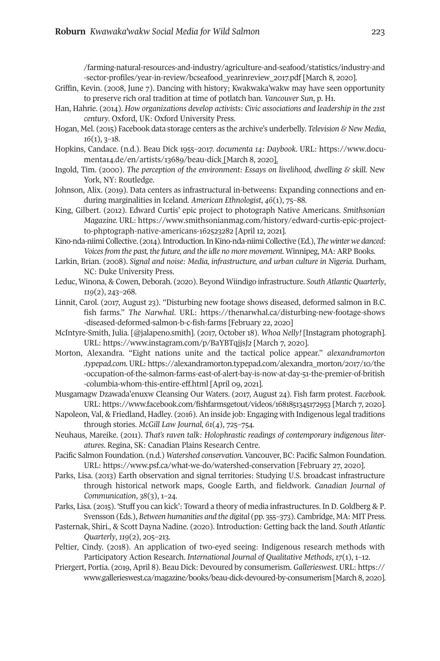/farming-natural-resources-and-industry/agriculture-and-seafood/statistics/industry-and -sector-profiles[/year-in-review/bcseafood\\_yearinreview\\_2017.pdf \[March 8, 2020\].](https://www.smithsonianmag.com/history/edward-curtis-epic-project-to-phptograph-native-americans-162523282) 

- Griffin, [Kevin. \(2008, June 7\). Dancing with history; K](https://www.smithsonianmag.com/history/edward-curtis-epic-project-to-phptograph-native-americans-162523282)wakwaka'wakw may have seen opportunity to preserve rich oral tradition at time of potlatch ban. *Vancouver Sun*, p. H1.
- Han, Hahrie. (2014). *How organizations develop activists: Civic associations and leadership in the 21st century*. Oxford, UK: Oxford University Press.
- Hogan, Mel. (2015) Facebook data storage centers as the archive's underbelly. *Television & New Media*, *16*(1), 3–18.
- Hopkins, Candace. (n.d.). Beau Dick 1955–2017. *documenta 14: Daybook*. URL: https://www.documenta14.de/en/artists/13689/beau-dick [March 8, 2020].
- Ingold, Tim. (2000). *[The perception of the environment: Essays on livelihood, dwelling & skill](https://thenarwhal.ca/disturbing-new-footage-shows-diseased-deformed-salmon-b-c-fish-farms/)*. Ne[w](https://thenarwhal.ca/disturbing-new-footage-shows-diseased-deformed-salmon-b-c-fish-farms/)  York, NY: Routledge.
- Johnson, Alix[. \(2019\). Data centers as infrastructural in-bet](https://www.instagram.com/p/BaYBTqjjsJ2)weens: Expanding connections and enduring marginalities in Iceland. *American Ethnologist*, *46*(1), 75–88.
- King, Gilbert. (2012). Edward Curtis' epic project to photograph Native Americans. *Smithsonian Magazine.* URL: ht[tps://www.smithsonianmag.com/history/edward-curtis-epic-project](https://alexandramorton.typepad.com/alexandra_morton/2017/10/the-occupation-of-the-salmon-farms-east-of-alert-bay-is-now-at-day-51-the-premier-of-british-columbia-whom-this-entire-eff.html)[to-phptograph-native-americans-162523282 \[April 12, 2021\].](https://alexandramorton.typepad.com/alexandra_morton/2017/10/the-occupation-of-the-salmon-farms-east-of-alert-bay-is-now-at-day-51-the-premier-of-british-columbia-whom-this-entire-eff.html)
- Kino-nd[a-niimi Collective. \(2014\). Introduction. I](https://alexandramorton.typepad.com/alexandra_morton/2017/10/the-occupation-of-the-salmon-farms-east-of-alert-bay-is-now-at-day-51-the-premier-of-british-columbia-whom-this-entire-eff.html)n Kino-nda-niimi Collective (Ed.), *The winter we danced: Voices from the past, the future, and the idle no more movement*. Winnipeg, MA: ARP Books.
- Larkin, Brian. (2008). *[Signal and noise: Media, infrastructure, and urban culture in N](https://www.facebook.com/fishfarmsgetout/videos/1681851345172953)igeria*. Durham, NC: Duke University Press.
- Leduc, Winona, & Cowen, Deborah. (2020). Beyond Wiindigo infrastructure. *South Atlantic Quarterly*, *119*(2), 243–268.
- Linnit, Carol. (2017, August 23). "Disturbing new footage shows diseased, deformed salmon in B.C. fish farms." *The Narwhal*. URL: https://thenarwhal.ca/disturbing-new-footage-shows -dise[ased-deformed-salmon-b-c-fish-farms \[February 22, 2020\]](https://www.psf.ca/what-we-do/watershed-conservation)
- McIntyre-Smith, Julia. [@jalapeno.smith]. (2017, October 18). *Whoa Nelly!* [Instagram photograph]. URL: https://www.instagram.com/p/BaYBTqjjsJ2 [March 7, 2020].
- Morton, Alexandra. "Eight nations unite and the tactical police appear." *alexandramorton .typepad.com*. URL: https://alexandramorton.typepad.com/alexandra\_morton/2017/10/the -occupation-of-the-salmon-farms-east-of-alert-bay-is-now-at-day-51-the-premier-of-british -columbia-whom-this-entire-eff.html [April 09, 2021].
- Musgamagw Dzawada'enuxw Cleansing Our Waters. (2017, August 24). Fish farm protest. *Facebook.* URL: https://www.facebook.com/fishfarmsgetout/videos/1681851345172953 [March 7, 2020].
- Napoleon, Val, & Friedland, Hadley. (2016). An inside job: Engaging with Indigenous legal t[raditions](https://www.gallerieswest.ca/magazine/books/beau-dick-devoured-by-consumerism)  through stories. *McGill Law Journal, 61*(4), 725–754.
- Neuhaus, Mareike. (2011). *[That's raven talk: Holophrastic readings of contemporary](https://www.gallerieswest.ca/magazine/books/beau-dick-devoured-by-consumerism) indigenous literatures*. Regina, SK: Canadian Plains Research Centre.
- Pacific Salmon Foundation. (n.d.) *Watershed conservation.* Vancouver, BC: Pacific Salmon Foundation. URL: https://www.psf.ca/what-we-do/watershed-conservation [February 27, 2020].
- Parks, Lisa. (2013) Earth observation and signal territories: Studying U.S. broadcast infrastructure through historical network maps, Google Earth, and fieldwork. *Canadian Journal of Communication*, *38*(3), 1–24.
- Parks, Lisa. (2015). 'Stuff you can kick': Toward a theory of media infrastructures. In D. Goldberg & P. Svensson (Eds.), *Between humanities and the digital* (pp. 355–373). Cambridge, MA: MIT Press.
- Pasternak, Shiri., & Scott Dayna Nadine. (2020). Introduction: Getting back the land. *South Atlantic Quarterly*, *119*(2), 205–213.
- Peltier, Cindy. (2018). An application of two-eyed seeing: Indigenous research methods with Participatory Action Research. *International Journal of Qualitative Methods*, *17*(1), 1–12.
- Priergert, Portia. (2019, April 8). Beau Dick: Devoured by consumerism. *Gallerieswest*. URL: https:// www.gallerieswest.ca/magazine/books/beau-dick-devoured-by-consumerism [March 8, 2020].